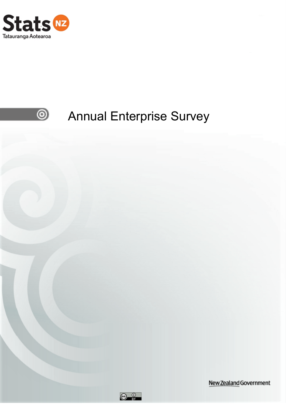



# Annual Enterprise Survey



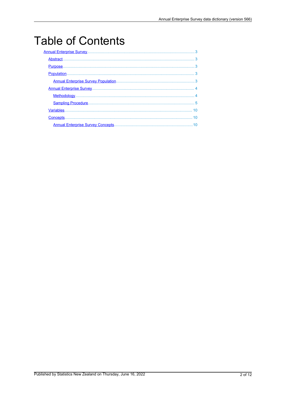# **Table of Contents**

|  | 10 |  |
|--|----|--|
|  |    |  |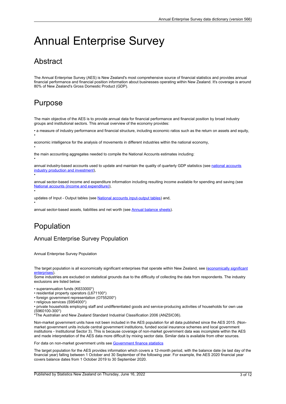## <span id="page-2-0"></span>Annual Enterprise Survey

## **Abstract**

The Annual Enterprise Survey (AES) is New Zealand's most comprehensive source of financial statistics and provides annual financial performance and financial position information about businesses operating within New Zealand. It's coverage is around 80% of New Zealand's Gross Domestic Product (GDP).

## Purpose

•

•

•

•

•

The main objective of the AES is to provide annual data for financial performance and financial position by broad industry groups and institutional sectors. This annual overview of the economy provides:

• <sup>a</sup> measure of industry performance and financial structure, including economic ratios such as the return on assets and equity, •

economic intelligence for the analysis of movements in different industries within the national economy,

the main accounting aggregates needed to compile the National Accounts estimates including:

annual industry-based [accounts](https://www.stats.govt.nz/insights?filters=National%20accounts%20%28industry%20production%20and%20investment%29%2CInformation%20releases) used to update and maintain the quality of quarterly GDP statistics (see national accounts industry production and [investment](https://www.stats.govt.nz/insights?filters=National%20accounts%20%28industry%20production%20and%20investment%29%2CInformation%20releases)),

annual sector-based income and expenditure information including resulting income available for spending and saving (see National accounts (income and [expenditure\)](https://www.stats.govt.nz/insights?filters=National%20accounts%20%28income%20and%20expenditure%29%2CInformation%20releases)),

updates of Input - Output tables (see National accounts [input-output](https://www.stats.govt.nz/publications?filters=National%20accounts%20input-output%20tables) tables) and,

annual sector-based assets, liabilities and net worth (see Annual balance [sheets](https://www.stats.govt.nz/insights?filters=Annual%20balance%20sheets%2CInformation%20releases)).

## Population

#### Annual Enterprise Survey Population

Annual Enterprise Survey Population

The target population is all [economically](http://datainfoplus.stats.govt.nz/Item/nz.govt.stats/9d91f411-1da6-4415-b9e1-773aaada324d) significant enterprises that operate within New Zealand, see (economically significant [enterprises](http://datainfoplus.stats.govt.nz/Item/nz.govt.stats/9d91f411-1da6-4415-b9e1-773aaada324d)).

Some industries are excluded on statistical grounds due to the difficulty of collecting the data from respondents. The industry exclusions are listed below:

- superannuation funds (K633000\*)
- residential property operators (L671100\*)
- foreign government representation (O755200\*)
- religious services (S954000\*)

• private households employing staff and undifferentiated goods and service-producing activities of households for own use (S960100-300\*)

\*The Australian and New Zealand Standard Industrial Classification 2006 (ANZSIC06).

Non-market government units have not been included in the AES population for all data published since the AES 2015. (Nonmarket government units include central government institutions, funded social insurance schemes and local government institutions - Institutional Sector 3). This is because coverage of non-market government data was incomplete within the AES and made interpretation of the AES data more difficult by mixing sector data. Similar data is available from other sources.

For data on non-market government units see [Government](https://www.stats.govt.nz/topics/government-finance) finance statistics

The target population for the AES provides information which covers <sup>a</sup> 12-month period, with the balance date (ie last day of the financial year) falling between 1 October and 30 September of the following year. For example, the AES 2020 financial year covers balance dates from 1 October 2019 to 30 September 2020.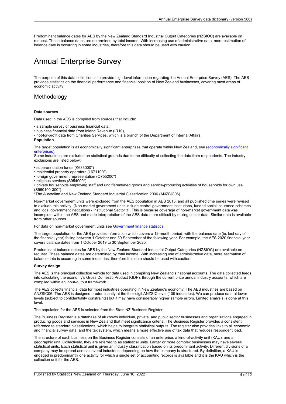<span id="page-3-0"></span>Predominant balance dates for AES by the New Zealand Standard Industrial Output Categories (NZSIOC) are available on request. These balance dates are determined by total income. With increasing use of administrative data, more estimation of balance date is occurring in some industries, therefore this data should be used with caution.

## Annual Enterprise Survey

The purpose of this data collection is to provide high-level information regarding the Annual Enterprise Survey (AES). The AES provides statistics on the financial performance and financial position of New Zealand businesses, covering most areas of economic activity.

#### Methodology

#### **Data sources**

Data used in the AES is compiled from sources that include:

- <sup>a</sup> sample survey of business financial data,
- business financial data from Inland Revenue (IR10),

• not-for-profit data from Charities Services, which is <sup>a</sup> branch of the Department of Internal Affairs. **Population**

The target population is all [economically](http://datainfoplus.stats.govt.nz/Item/nz.govt.stats/9d91f411-1da6-4415-b9e1-773aaada324d) significant enterprises that operate within New Zealand, see (economically significant [enterprises](http://datainfoplus.stats.govt.nz/Item/nz.govt.stats/9d91f411-1da6-4415-b9e1-773aaada324d)).

Some industries are excluded on statistical grounds due to the difficulty of collecting the data from respondents. The industry exclusions are listed below:

- superannuation funds (K633000\*)
- residential property operators (L671100\*)

• foreign government representation (O755200\*)

• religious services (S954000\*)

• private households employing staff and undifferentiated goods and service-producing activities of households for own use (S960100-300\*)

\*The Australian and New Zealand Standard Industrial Classification 2006 (ANZSIC06).

Non-market government units were excluded from the AES population in AES 2015, and all published time series were revised to exclude this activity. (Non-market government units include central government institutions, funded social insurance schemes and local government institutions - Institutional Sector 3). This is because coverage of non-market government data was incomplete within the AES and made interpretation of the AES data more difficult by mixing sector data. Similar data is available from other sources.

For data on non-market government units see [Government](https://www.stats.govt.nz/topics/government-finance) finance statistics

The target population for the AES provides information which covers <sup>a</sup> 12-month period, with the balance date (ie, last day of the financial year) falling between 1 October and 30 September of the following year. For example, the AES 2020 financial year covers balance dates from 1 October 2019 to 30 September 2020.

Predominant balance dates for AES by the New Zealand Standard Industrial Output Categories (NZSIOC) are available on request. These balance dates are determined by total income. With increasing use of administrative data, more estimation of balance date is occurring in some industries, therefore this data should be used with caution.

#### **Survey design**

The AES is the principal collection vehicle for data used in compiling New Zealand's national accounts. The data collected feeds into calculating the economy's Gross Domestic Product (GDP), through the current price annual industry accounts, which are compiled within an input-output framework.

The AES collects financial data for most industries operating in New Zealand's economy. The AES industries are based on ANZSIC06. The AES is designed predominantly at the four-digit ANZSIC level (109 industries). We can produce data at lower levels (subject to confidentiality constraints) but it may have considerably higher sample errors. Limited analysis is done at this level.

The population for the AES is selected from the Stats NZ Business Register.

The Business Register is <sup>a</sup> database of all known individual, private, and public sector businesses and organisations engaged in producing goods and services in New Zealand that meet significance criteria. The Business Register provides <sup>a</sup> consistent reference to standard classifications, which helps to integrate statistical outputs. The register also provides links to all economic and financial survey data, and the tax system, which means <sup>a</sup> more effective use of tax data that reduces respondent load.

The structure of each business on the Business Register consists of an enterprise, <sup>a</sup> kind-of-activity unit (KAU), and <sup>a</sup> geographic unit. Collectively, they are referred to as statistical units. Larger or more complex businesses may have several statistical units. Each statistical unit is given an industry classification based on its predominant activity. Different divisions of <sup>a</sup> company may be spread across several industries, depending on how the company is structured. By definition, <sup>a</sup> KAU is engaged in predominantly one activity for which <sup>a</sup> single set of accounting records is available and it is the KAU which is the collection unit for the AES.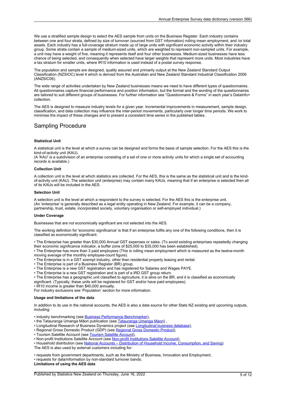<span id="page-4-0"></span>We use <sup>a</sup> stratified sample design to select the AES sample from units on the Business Register. Each industry contains between one and four strata, defined by size of turnover (sourced from GST information) rolling mean employment, and /or total assets. Each industry has <sup>a</sup> full-coverage stratum made up of large units with significant economic activity within their industry group. Some strata contain <sup>a</sup> sample of medium-sized units, which are weighted to represent non-sampled units. For example, <sup>a</sup> unit may have <sup>a</sup> weight of five, meaning it represents itself and four other businesses. Medium-sized businesses have less chance of being selected, and consequently when selected have larger weights that represent more units. Most industries have <sup>a</sup> tax stratum for smaller units, where IR10 information is used instead of <sup>a</sup> postal survey response.

The population and sample are designed, quality assured and primarily output at the New Zealand Standard Output Classification (NZSIOC) level 4 which is derived from the Australian and New Zealand Standard Industrial Classification 2006 (ANZSIC06).

The wide range of activities undertaken by New Zealand businesses means we need to have different types of questionnaires. All questionnaires capture financial performance and position information, but the format and the wording of the questionnaires are tailored to suit different groups of businesses. For further information see "Questionnaire & Forms" in each year's DataInfo+ collection.

The AES is designed to measure industry levels for a given year. Incremental improvements in measurement, sample design, classification, and data collection may influence the inter-period movements, particularly over longer time periods. We work to minimise the impact of these changes and to present <sup>a</sup> consistent time series in the published tables.

#### Sampling Procedure

#### **Statistical Unit**

A statistical unit is the level at which <sup>a</sup> survey can be designed and forms the basis of sample selection. For the AES this is the kind-of-activity unit (KAU).

(A 'KAU' is <sup>a</sup> subdivision of an enterprise consisting of <sup>a</sup> set of one or more activity units for which <sup>a</sup> single set of accounting records is available.)

#### **Collection Unit**

A collection unit is the level at which statistics are collected. For the AES, this is the same as the statistical unit and is the kindof-activity unit (KAU). The selection unit (enterprise) may contain many KAUs, meaning that if an enterprise is selected then all of its KAUs will be included in the AES.

#### **Selection Unit**

A selection unit is the level at which <sup>a</sup> respondent to the survey is selected. For the AES this is the enterprise unit. (An 'enterprise' is generally described as <sup>a</sup> legal entity operating in New Zealand. For example, it can be <sup>a</sup> company, partnership, trust, estate, incorporated society, voluntary organisation or self-employed individual.)

#### **Under Coverage**

Businesses that are not economically significant are not selected into the AES.

The working definition for 'economic significance' is that if an enterprise fulfils any one of the following conditions, then it is classified as economically significant:

• The Enterprise has greater than \$30,000 Annual GST expenses or sales. (To avoid existing enterprises repeatedly changing their economic significance indicator, <sup>a</sup> buffer zone of \$25,000 to \$35,000 has been established).

• The Enterprise has more than 3 paid employees (This is rolling mean employment which is measured as the twelve-month moving average of the monthly employee-count figure).

- The Enterprise is in <sup>a</sup> GST exempt industry, other than residential property leasing and rental.
- The Enterprise is part of <sup>a</sup> Business Register (BR) group.
- The Enterprise is <sup>a</sup> new GST registration and has registered for Salaries and Wages PAYE.
- The Enterprise is <sup>a</sup> new GST registration and is part of <sup>a</sup> IRD GST group return.
- The Enterprise has <sup>a</sup> geographic unit classified to agriculture, it is alive on the BR, and it is classified as economically significant. (Typically, these units will be registered for GST and/or have paid employees).
- IR10 income is greater than \$40,000 annually.

For industry exclusions see 'Population' section for more information.

#### **Usage and limitations of the data**

In addition to its use in the national accounts, the AES is also <sup>a</sup> data source for other Stats NZ existing and upcoming outputs, including:

- industry benchmarking (see **Business Performance [Benchmarker](https://www.stats.govt.nz/experimental/business-performance-benchmarker))**,
- the [Tatauranga](https://www.stats.govt.nz/information-releases/tatauranga-umanga-maori-statistics-on-maori-businesses-2019-english) Umanga Māori publication (see Tatauranga Umanga Maori)
- [Longitudinal](https://www.stats.govt.nz/integrated-data/longitudinal-business-database/) Research of Business Dynamics project (see Longitudinal business database)
- Regional Gross Domestic Product (GDP) (see [Regional](https://www.stats.govt.nz/publications?filters=Regional%20gross%20domestic%20product%2CInformation%20releases) Gross Domestic Product),
- Tourism Satellite [Account](https://www.stats.govt.nz/insights?filters=Tourism%20satellite%20account%2CInformation%20releases) (see Tourism Satellite Account),
- [Non-profit](https://www.stats.govt.nz/reports/non-profit-institutions-satellite-account-2018) Institutions Satellite Account (see Non-profit Institutions Satellite Account)
- Household distribution (see National Accounts Distribution of Household Income, [Consumption,](https://www.stats.govt.nz/experimental/national-accounts-distribution-of-household-income-consumption-and-saving) and Saving).

The AES is also used by external customers including for:

• requests from government departments, such as the Ministry of Business, Innovation and Employment,

• requests for data/information by non-standard turnover bands.

#### **Limitations of using the AES data**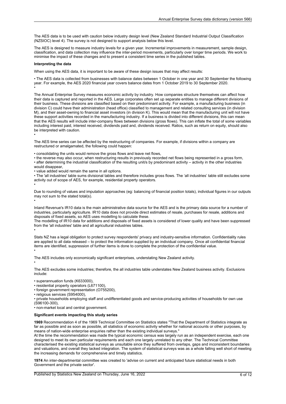The AES data is to be used with caution below industry design level (New Zealand Standard Industrial Output Classification (NZSIOC) level 4). The survey is not designed to support analysis below this level.

The AES is designed to measure industry levels for <sup>a</sup> given year. Incremental improvements in measurement, sample design, classification, and data collection may influence the inter-period movements, particularly over longer time periods. We work to minimise the impact of these changes and to present <sup>a</sup> consistent time series in the published tables.

#### **Interpreting the data**

•

•

•

•

•

When using the AES data, it is important to be aware of these design issues that may affect results:

• The AES data is collected from businesses with balance dates between 1 October in one year and 30 September the following year. For example, the AES 2020 financial year covers balance dates from 1 October 2019 to 30 September 2020.

The Annual Enterprise Survey measures economic activity by industry. How companies structure themselves can affect how their data is captured and reported in the AES. Large corporates often set up separate entities to manage different divisions of their business. These divisions are classified based on their predominant activity. For example, <sup>a</sup> manufacturing business (in division C) could have their administration (head office) classified to management and related consulting services (in division M), and their asset-owning to financial asset investors (in division K). This would mean that the manufacturing unit will not have these support activities recorded in the manufacturing industry. If <sup>a</sup> business is divided into different divisions, this can mean that the AES results will include inter-company flows between divisions (gross flows). This can inflate the total of some variables including interest paid, interest received, dividends paid and, dividends received. Ratios, such as return on equity, should also be interpreted with caution.

The AES time series can be affected by the restructuring of companies. For example, if divisions within <sup>a</sup> company are restructured or amalgamated, the following could happen:

• consolidating the units would remove the gross flows and leave net flows,

• the reverse may also occur, when restructuring results in previously recorded net flows being represented in <sup>a</sup> gross form, • after determining the industrial classification of the resulting unit/s by predominant activity – activity in the other industries would disappear,

• value added would remain the same in all options.

• The 'all industries' table sums divisional tables and therefore includes gross flows. The 'all industries' table still excludes some activity out of scope of AES, for example, residential property operators.

Due to rounding of values and imputation approaches (eg: balancing of financial position totals), individual figures in our outputs may not sum to the stated total(s).

Inland Revenue's IR10 data is the main administrative data source for the AES and is the primary data source for <sup>a</sup> number of industries, particularly agriculture. IR10 data does not provide direct estimates of resale, purchases for resale, additions and disposals of fixed assets, so AES uses modelling to calculate these.

The modelling of IR10 data for additions and disposals of fixed assets is considered of lower quality and have been suppressed from the 'all industries' table and all agricultural industries tables.

Stats NZ has <sup>a</sup> legal obligation to protect survey respondents' privacy and industry-sensitive information. Confidentiality rules are applied to all data released – to protect the information supplied by an individual company. Once all confidential financial items are identified, suppression of further items is done to complete the protection of the confidential value.

The AES includes only economically significant enterprises, understating New Zealand activity.

•

•

The AES excludes some industries; therefore, the all industries table understates New Zealand business activity. Exclusions include:

• superannuation funds (K633000),

• residential property operators (L671100),

• foreign government representation (O755200),

• religious services (S954000),

• private households employing staff and undifferentiated goods and service-producing activities of households for own use (S96100-300),

• non-market local and central government.

#### **Significant events impacting this study series**

**1969** Recommendation 4 of the 1969 Technical Committee on Statistics states "That the Department of Statistics integrate as far as possible and as soon as possible, all statistics of economic activity whether for national accounts or other purposes, by means of nation-wide enterprise enquiries rather than the existing individual surveys."

At the time the recommendation was made the typical economic census was largely run as an independent exercise, each one designed to meet its own particular requirements and each one largely unrelated to any other. The Technical Committee characterised the existing statistical surveys as unsuitable since they suffered from overlaps, gaps and inconsistent boundaries and valuations, and overall they lacked integration. The system of statistical surveys was as <sup>a</sup> whole falling well short of meeting the increasing demands for comprehensive and timely statistics.

**1974** An inter-departmental committee was created to 'advise on current and anticipated future statistical needs in both Government and the private sector'.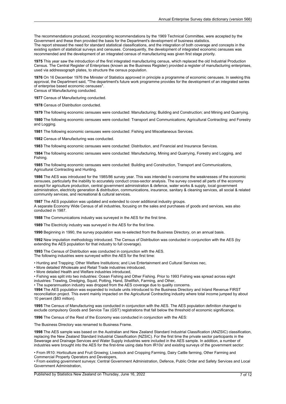The recommendations produced, incorporating recommendations by the 1969 Technical Committee, were accepted by the Government and these then provided the basis for the Department's development of business statistics. The report stressed the need for standard statistical classifications, and the integration of both coverage and concepts in the existing system of statistical surveys and censuses. Consequently, the development of integrated economic censuses was recommended and the development of an integrated census of manufacturing was given first stage priority.

**1975** This year saw the introduction of the first integrated manufacturing census, which replaced the old Industrial Production Census. The Central Register of Enterprises (known as the Business Register) provided <sup>a</sup> register of manufacturing enterprises, used via addressograph plates, to structure the census population.

**1976** On 16 December 1976 the Minister of Statistics approved in principle <sup>a</sup> programme of economic censuses. In seeking this approval, the Department said, "The department's future work programme provides for the development of an integrated series of enterprise based economic censuses".

Census of Manufacturing conducted.

**1977** Census of Manufacturing conducted.

**1978** Census of Distribution conducted.

**1979** The following economic censuses were conducted: Manufacturing; Building and Construction; and Mining and Quarrying.

**1980** The following economic censuses were conducted: Transport and Communications; Agricultural Contracting; and Forestry and Logging.

**1981** The following economic censuses were conducted: Fishing and Miscellaneous Services.

**1982** Census of Manufacturing was conducted.

**1983** The following economic censuses were conducted: Distribution, and Financial and Insurance Services.

**1984** The following economic censuses were conducted: Manufacturing, Mining and Quarrying, Forestry and Logging, and Fishing.

**1985** The following economic censuses were conducted: Building and Construction, Transport and Communications, Agricultural Contracting and Hunting.

**1986** The AES was introduced for the 1985/86 survey year. This was intended to overcome the weaknesses of the economic censuses, particularly the inability to accurately conduct cross-sector analysis. The survey covered all parts of the economy except for agriculture production, central government administration & defence, water works & supply, local government administration, electricity generation & distribution, communications, insurance, sanitary & cleaning services, all social &related community services, and recreational & cultural services.

**1987** The AES population was updated and extended to cover additional industry groups. A separate Economy Wide Census of all industries, focusing on the sales and purchases of goods and services, was also conducted in 1987.

**1988** The Communications industry was surveyed in the AES for the first time.

**1989** The Electricity industry was surveyed in the AES for the first time.

**1990** Beginning in 1990, the survey population was re-selected from the Business Directory, on an annual basis.

**1992** New imputation methodology introduced. The Census of Distribution was conducted in conjunction with the AES (by extending the AES population for that industry to full coverage).

**1993** The Census of Distribution was conducted in conjunction with the AES. The following industries were surveyed within the AES for the first time:

• Hunting and Trapping; Other Welfare Institutions; and Live Entertainment and Cultural Services nec,

• More detailed Wholesale and Retail Trade industries introduced,

• More detailed Health and Welfare industries introduced,

• Fishing was split into two industries: Ocean Fishing and Other Fishing. Prior to 1993 Fishing was spread across eight industries: Trawling, Dredging, Squid, Potting, Hand, Shellfish, Farming, and Other,

• The superannuation industry was dropped from the AES coverage due to quality concerns.

**1994** The AES population was expanded to include units introduced to the Business Directory and Inland Revenue FIRST reconciliation project. This event mainly impacted on the Agricultural Contracting industry where total income jumped by about 10 percent (\$83 million).

**1995** The Census of Manufacturing was conducted in conjunction with the AES. The AES population definition changed to exclude compulsory Goods and Service Tax (GST) registrations that fall below the threshold of economic significance.

**1996** The Census of the Rest of the Economy was conducted in conjunction with the AES:

The Business Directory was renamed to Business Frame.

**1998** The AES sample was based on the Australian and New Zealand Standard Industrial Classification (ANZSIC) classification, replacing the New Zealand Standard Industrial Classification (NZSIC). For the first time the private sector participants in the Sewerage and Drainage Services and Water Supply industries were included in the AES sample. In addition, <sup>a</sup> number of industries were brought into the AES for the first-time using data from IR10s' and existing surveys of the government sector:

• From IR10: Horticulture and Fruit Growing; Livestock and Cropping Farming, Dairy Cattle farming, Other Farming and Commercial Property Operators and Developers,

• From existing government surveys: Central Government Administration, Defence, Public Order and Safety Services and Local Government Administration,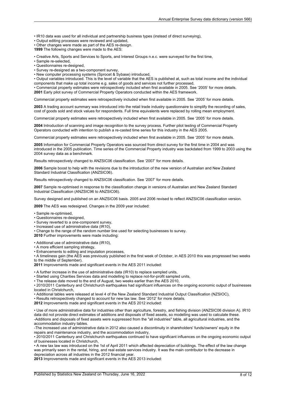• IR10 data was used for all individual and partnership business types (instead of direct surveying),

• Output editing processes were reviewed and updated,

• Other changes were made as part of the AES re-design.

**1999** The following changes were made to the AES:

• Creative Arts, Sports and Services to Sports, and Interest Groups n.e.c. were surveyed for the first time,

- Sample re-selected,
- Questionnaires re-designed,
- Survey re-designed as <sup>a</sup> two-component survey,
- New computer processing systems (Sprocet & Sybase) introduced,

• Output variables introduced. This is the level of variable that the AES is published at, such as total income and the individual components that make up total income e.g. sales of goods and services not further processed,

• Commercial property estimates were retrospectively included when first available in 2005. See '2005' for more details. **2001** Early pilot survey of Commercial Property Operators conducted within the AES framework.

Commercial property estimates were retrospectively included when first available in 2005. See '2005' for more details.

**2003** A trading account summary was introduced into the retail trade industry questionnaire to simplify the recording of sales, cost of goods sold and stock values for respondents. Full time equivalents were replaced by rolling mean employment.

Commercial property estimates were retrospectively included when first available in 2005. See '2005' for more details.

**2004** Introduction of scanning and image recognition to the survey process. Further pilot testing of Commercial Property Operators conducted with intention to publish <sup>a</sup> re-casted time series for this industry in the AES 2005.

Commercial property estimates were retrospectively included when first available in 2005. See '2005' for more details.

**2005** Information for Commercial Property Operators was sourced from direct survey for the first time in 2004 and was introduced in the 2005 publication. Time series of the Commercial Property industry was backdated from 1999 to 2003 using the 2004 survey data as <sup>a</sup> benchmark.

Results retrospectively changed to ANZSIC06 classification. See '2007' for more details.

**2006** Sample boost to help with the revisions due to the introduction of the new version of Australian and New Zealand Standard Industrial Classification (ANZSIC06).

Results retrospectively changed to ANZSIC06 classification. See '2007' for more details.

**2007** Sample re-optimised in response to the classification change in versions of Australian and New Zealand Standard Industrial Classification (ANZSIC96 to ANZSIC06).

Survey designed and published on an ANZSIC06 basis. 2005 and 2006 revised to reflect ANZSIC06 classification version.

**2009** The AES was redesigned. Changes in the 2009 year included:

- Sample re-optimised,
- Questionnaires re-designed,
- Survey reverted to <sup>a</sup> one-component survey,
- Increased use of administrative data (IR10),
- Change to the range of the random number line used for selecting businesses to survey.

**2010** Further improvements were made including:

• Additional use of administrative data (IR10),

- A more efficient sampling strategy,
- Enhancements to editing and imputation processes,

• A timeliness gain (the AES was previously published in the first week of October, in AES 2010 this was progressed two weeks to the middle of September).

**2011** Improvements made and significant events in the AES 2011 included:

• A further increase in the use of administrative data (IR10) to replace sampled units,

• Started using Charities Services data and modelling to replace not-for-profit sampled units,

• The release date moved to the end of August, two weeks earlier than the AES 2010,

• 2010/2011 Canterbury and Christchurch earthquakes had significant influences on the ongoing economic output of businesses located in Christchurch,

• Additional tables were released at level 4 of the New Zealand Standard Industrial Output Classification (NZSIOC),

• Results retrospectively changed to account for new tax law. See '2012' for more details.

**2012** Improvements made and significant events in the AES 2012 included:

• Use of more administrative data for industries other than agriculture, forestry, and fishing division (ANZSIC06 division A). IR10 data did not provide direct estimates of additions and disposals of fixed assets, so modelling was used to calculate these. -Additions and disposals of fixed assets were suppressed from the "all industries" table, all agricultural industries, and the accommodation industry tables.

-The increased use of administrative data in 2012 also caused <sup>a</sup> discontinuity in shareholders' funds/owners' equity in the repairs and maintenance industry, and the accommodation industry,

• 2010/2011 Canterbury and Christchurch earthquakes continued to have significant influences on the ongoing economic output of businesses located in Christchurch,

• A new tax law was introduced on the 1st of April 2011 which affected depreciation of buildings. The effect of the law change was primarily seen in the rental, hiring, and real estate services industry. It was the main contributor to the decrease in depreciation across all industries in the 2012 financial year.

**2013** Improvements made and significant events in the AES 2013 included: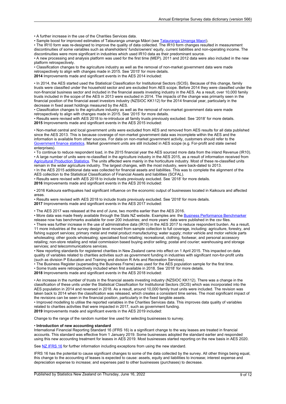• A further increase in the use of the Charities Services data.

• Sample boost for improved estimates of [Tatauranga](https://www.stats.govt.nz/information-releases/tatauranga-umanga-maori-statistics-on-maori-businesses-2019-english) umanga Māori (see Tatauranga Umanga Maori).

• The IR10 form was re-designed to improve the quality of data collected. The IR10 form changes resulted in measurement discontinuities of some variables such as shareholders' funds/owners' equity, current liabilities and non-operating income. The discontinuities were more significant in industries which used IR10 data as their predominant source.

• A new processing and analysis platform was used for the first time (MEP). 2011 and 2012 data were also included in the new platform retrospectively.

• Classification changes to the agriculture industry as well as the removal of non-market government data were made retrospectively to align with changes made in 2015. See '2015' for more details. **2014** Improvements made and significant events in the AES 2014 included:

• In 2014, the AES started used the Statistical Classification for Institutional Sectors (SCIS). Because of this change, family trusts were classified under the household sector and are excluded from AES scope. Before 2014 they were classified under the non-financial business sector and included in the financial assets investing industry in the AES. As <sup>a</sup> result, over 10,000 family trusts included in the scope of the AES in 2013 were excluded in 2014. The impacts of the change was primarily seen in the financial position of the financial asset investors industry (NZSIOC KK112) for the 2014 financial year, particularly in the decrease in fixed asset holdings measured by the AES.

• Classification changes to the agriculture industry as well as the removal of non-market government data were made retrospectively to align with changes made in 2015. See '2015' for more details.

• Results were revised with AES 2018 to re-introduce all family trusts previously excluded. See '2018' for more details. **2015** Improvements made and significant events in the AES 2015 included:

• Non-market central and local government units were excluded from AES and removed from AES results for all data published since the AES 2013. This is because coverage of non-market government data was incomplete within the AES and the information is available from other sources. For data on non-market government activity, customers should refer to the [Government](https://www.stats.govt.nz/topics/government-finance) finance statistics. Market government units are still included in AES scope (e.g. For-profit and state owned enterprises).

• To continue to reduce respondent load, in the 2015 financial year the AES sourced more data from the inland Revenue (IR10). • A large number of units were re-classified in the agriculture industry in the AES 2015, as <sup>a</sup> result of information received from [Agricultural](https://www.stats.govt.nz/publications?filters=Agricultural%20production%20statistics) Production Statistics. The units affected were mainly in the horticulture industry. Most of these re-classified units remain in the wider agriculture industry. The largest changes, with the most industry, were back-dated to 2013.

• In the AES 2015 additional data was collected for financial assets and liabilities. This was to complete the alignment of the AES collection to the Statistical Classification of Financial Assets and liabilities (SCFAL).

• Results were revised with AES 2018 to include trusts previously excluded. See '2018' for more details.

**2016** Improvements made and significant events in the AES 2016 included:

• 2016 Kaikoura earthquakes had significant influence on the economic output of businesses located in Kaikoura and affected areas.

• Results were revised with AES 2018 to include trusts previously excluded. See '2018' for more details. **2017** Improvements made and significant events in the AES 2017 included:

• The AES 2017 was released at the end of June, two months earlier than the AES 2016.

• More data was made freely available through the Stats NZ website. Examples are: the Business Performance [Benchmarker](https://www.stats.govt.nz/experimental/business-performance-benchmarker) release now has benchmarks available for over 200 industries; and more years' data were published in the csv files.

• There was further increase in the use of administrative data (IR10) in the AES 2017 to reduce respondent burden. As <sup>a</sup> result, 11 more industries at the survey design level moved from sample collection to full coverage, including: agriculture, forestry, and fishing support services; primary metal and metal product manufacturing; water supply; motor vehicle and motor vehicle parts wholesaling; other goods wholesaling; specialised food retailing; recreational, clothing, footwear, and personal accessory retailing; non-store retailing and retail commission based buying and/or selling; postal and courier; warehousing and storage services; and telecommunications services.

• New reporting standards for registered charities in New Zealand came into effect on 1 April 2015. This impacted on data quality of variables related to charities activities such as government funding in industries with significant non-for-profit units (such as division P Education and Training and division R Arts and Recreation Services).

• The Business Register (superseding the Business Frame) was used for the AES population sample for the first time. • Some trusts were retrospectively included when first available in 2018. See '2018' for more details.

**2018** Improvements made and significant events in the AES 2018 included:

• An increase in the number of trusts in the financial assets investing industry (NZSIOC KK112). There was <sup>a</sup> change in the classification of these units under the Statistical Classification for Institutional Sectors (SCIS) which was incorporated into the AES population in 2014 and reversed in 2018. As <sup>a</sup> result, around 10,000 family trust units were included. The revision was taken back to 2014 when the classification was released, which creates <sup>a</sup> consistent time series. The most significant impact of the revisions can be seen in the financial position, particularly in the fixed tangible assets.

• Improved modelling to utilise the reported variables in the Charities Services data. This improves data quality of variables related to charities activities that were impacted in 2017, such as government funding.

**2019** Improvements made and significant events in the AES 2019 included:

Change to the range of the random number line used for selecting businesses to survey.

#### • **Introduction of new accounting standard**

International Financial Reporting Standard 16 (IFRS 16) is <sup>a</sup> significant change to the way leases are treated in financial accounts. This standard was effective from 1 January 2019. Some businesses adopted the standard earlier and responded using this new accounting treatment for leases in AES 2019. Most businesses started reporting on the new basis in AES 2020.

See NZ [IFRS](https://www.xrb.govt.nz/accounting-standards/for-profit-entities/nz-ifrs-16/) 16 for further information including exceptions from using the new standard.

IFRS 16 has the potential to cause significant changes to some of the data collected by the survey. All other things being equal, this change to the accounting of leases is expected to cause: assets, equity and liabilities to increase; interest expense and depreciation expense to increase; and expenses paid to other businesses (purchases) to decrease.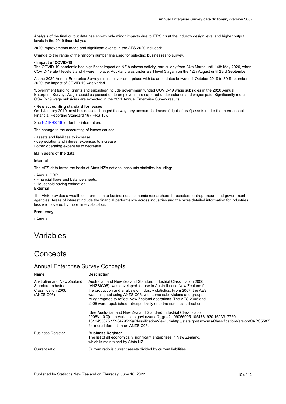<span id="page-9-0"></span>Analysis of the final output data has shown only minor impacts due to IFRS 16 at the industry design level and higher output levels in the 2019 financial year.

**2020** Improvements made and significant events in the AES 2020 included:

Change to the range of the random number line used for selecting businesses to survey.

#### • **Impact of COVID-19**

The COVID-19 pandemic had significant impact on NZ business activity, particularly from 24th March until 14th May 2020, when COVID-19 alert levels 3 and 4 were in place. Auckland was under alert level 3 again on the 12th August until 23rd September.

As the 2020 Annual Enterprise Survey results cover enterprises with balance dates between 1 October 2019 to 30 September 2020, the impact of COVID-19 was varied.

'Government funding, grants and subsidies' include government funded COVID-19 wage subsidies in the 2020 Annual Enterprise Survey. Wage subsidies passed on to employees are captured under salaries and wages paid. Significantly more COVID-19 wage subsidies are expected in the 2021 Annual Enterprise Survey results.

#### • **New accounting standard for leases**

On 1 January 2019 most businesses changed the way they account for leased ('right-of-use') assets under the International Financial Reporting Standard 16 (IFRS 16).

See NZ [IFRS](https://www.xrb.govt.nz/accounting-standards/for-profit-entities/nz-ifrs-16/) 16 for further information.

The change to the accounting of leases caused:

- assets and liabilities to increase
- depreciation and interest expenses to increase
- other operating expenses to decrease.

#### **Main users of the data**

#### **Internal**

The AES data forms the basis of Stats NZ's national accounts statistics including:

• Annual GDP,

- Financial flows and balance sheets,
- Household saving estimation.

#### **External**

The AES provides <sup>a</sup> wealth of information to businesses, economic researchers, forecasters, entrepreneurs and government agencies. Areas of interest include the financial performance across industries and the more detailed information for industries less well covered by more timely statistics.

#### **Frequency**

• Annual

### Variables

## **Concepts**

#### Annual Enterprise Survey Concepts

| <b>Name</b>                                                                            | <b>Description</b>                                                                                                                                                                                                                                                                                                                                                                                                               |
|----------------------------------------------------------------------------------------|----------------------------------------------------------------------------------------------------------------------------------------------------------------------------------------------------------------------------------------------------------------------------------------------------------------------------------------------------------------------------------------------------------------------------------|
| Australian and New Zealand<br>Standard Industrial<br>Classification 2006<br>(ANZSIC06) | Australian and New Zealand Standard Industrial Classification 2006<br>(ANZSIC06): was developed for use in Australia and New Zealand for<br>the production and analysis of industry statistics. From 2007, the AES<br>was designed using ANZSIC06, with some subdivisions and groups<br>re-aggregated to reflect New Zealand operations. The AES 2005 and<br>2006 were republished retrospectively onto the same classification. |
|                                                                                        | [See Australian and New Zealand Standard Industrial Classification<br>2006V1.0.0](http://aria.stats.govt.nz/aria/? ga=2.109056005.1054761930.1603317760-<br>1616455875.1598479519#ClassificationView:uri=http://stats.govt.nz/cms/ClassificationVersion/CARS5587)<br>for more information on ANZSIC06.                                                                                                                           |
| <b>Business Register</b>                                                               | <b>Business Register</b><br>The list of all economically significant enterprises in New Zealand,<br>which is maintained by Stats NZ.                                                                                                                                                                                                                                                                                             |
| Current ratio                                                                          | Current ratio is current assets divided by current liabilities.                                                                                                                                                                                                                                                                                                                                                                  |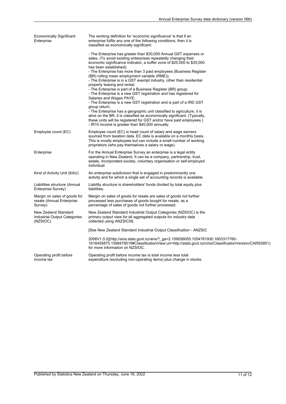| <b>Economically Significant</b>                                      | The working definition for 'economic significance' is that if an                                                                                                                                                                                                                                                                                                                                                                                                                                                                                                                                                                                                                                                                                                                                                                                                                                                                                                                                                    |
|----------------------------------------------------------------------|---------------------------------------------------------------------------------------------------------------------------------------------------------------------------------------------------------------------------------------------------------------------------------------------------------------------------------------------------------------------------------------------------------------------------------------------------------------------------------------------------------------------------------------------------------------------------------------------------------------------------------------------------------------------------------------------------------------------------------------------------------------------------------------------------------------------------------------------------------------------------------------------------------------------------------------------------------------------------------------------------------------------|
| Enterprise                                                           | enterprise fulfils any one of the following conditions, then it is<br>classified as economically significant:                                                                                                                                                                                                                                                                                                                                                                                                                                                                                                                                                                                                                                                                                                                                                                                                                                                                                                       |
|                                                                      | - The Enterprise has greater than \$30,000 Annual GST expenses or<br>sales. (To avoid existing enterprises repeatedly changing their<br>economic significance indicator, a buffer zone of \$25,000 to \$35,000<br>has been established);<br>- The Enterprise has more than 3 paid employees (Business Register<br>(BR) rolling mean employment variable (RME));<br>- The Enterprise is in a GST exempt industry, other than residential<br>property leasing and rental;<br>- The Enterprise is part of a Business Register (BR) group;<br>- The Enterprise is a new GST registration and has registered for<br>Salaries and Wages PAYE;<br>- The Enterprise is a new GST registration and is part of a IRD GST<br>group return;<br>- The Enterprise has a geographic unit classified to agriculture, it is<br>alive on the BR, it is classified as economically significant. (Typically,<br>these units will be registered for GST and/or have paid employees.)<br>- IR10 income is greater than \$40,000 annually. |
| Employee count (EC)                                                  | Employee count (EC) is head count of salary and wage earners<br>sourced from taxation data. EC data is available on a monthly basis.<br>This is mostly employees but can include a small number of working<br>proprietors (who pay themselves a salary or wage).                                                                                                                                                                                                                                                                                                                                                                                                                                                                                                                                                                                                                                                                                                                                                    |
| Enterprise                                                           | For the Annual Enterprise Survey an enterprise is a legal entity<br>operating in New Zealand. It can be a company, partnership, trust,<br>estate, incorporated society, voluntary organisation or self-employed<br>individual.                                                                                                                                                                                                                                                                                                                                                                                                                                                                                                                                                                                                                                                                                                                                                                                      |
| Kind of Activity Unit (KAU)                                          | An enterprise subdivision that is engaged in predominantly one<br>activity and for which a single set of accounting records is available.                                                                                                                                                                                                                                                                                                                                                                                                                                                                                                                                                                                                                                                                                                                                                                                                                                                                           |
| Liabilities structure (Annual<br>Enterprise Survey)                  | Liability structure is shareholders' funds divided by total equity plus<br>liabilities.                                                                                                                                                                                                                                                                                                                                                                                                                                                                                                                                                                                                                                                                                                                                                                                                                                                                                                                             |
| Margin on sales of goods for<br>resale (Annual Enterprise<br>Survey) | Margin on sales of goods for resale are sales of goods not further<br>processed less purchases of goods bought for resale, as a<br>percentage of sales of goods not further processed.                                                                                                                                                                                                                                                                                                                                                                                                                                                                                                                                                                                                                                                                                                                                                                                                                              |
| New Zealand Standard<br>Industrial Output Categories<br>(NZSIOC)     | New Zealand Standard Industrial Output Categories (NZSIOC) is the<br>primary output view for all aggregated outputs for industry data<br>collected using ANZSIC06.                                                                                                                                                                                                                                                                                                                                                                                                                                                                                                                                                                                                                                                                                                                                                                                                                                                  |
|                                                                      | [See New Zealand Standard Industrial Output Classification - ANZSIC                                                                                                                                                                                                                                                                                                                                                                                                                                                                                                                                                                                                                                                                                                                                                                                                                                                                                                                                                 |
|                                                                      | 2006V1.0.0](http://aria.stats.govt.nz/aria/?_ga=2.109056005.1054761930.1603317760-<br>1616455875.1598479519#ClassificationView:uri=http://stats.govt.nz/cms/ClassificationVersion/CARS5851<br>for more information on NZSIOC.                                                                                                                                                                                                                                                                                                                                                                                                                                                                                                                                                                                                                                                                                                                                                                                       |
| Operating profit before<br>income tax                                | Operating profit before income tax is total income less total<br>expenditure (excluding non-operating items) plus change in stocks.                                                                                                                                                                                                                                                                                                                                                                                                                                                                                                                                                                                                                                                                                                                                                                                                                                                                                 |